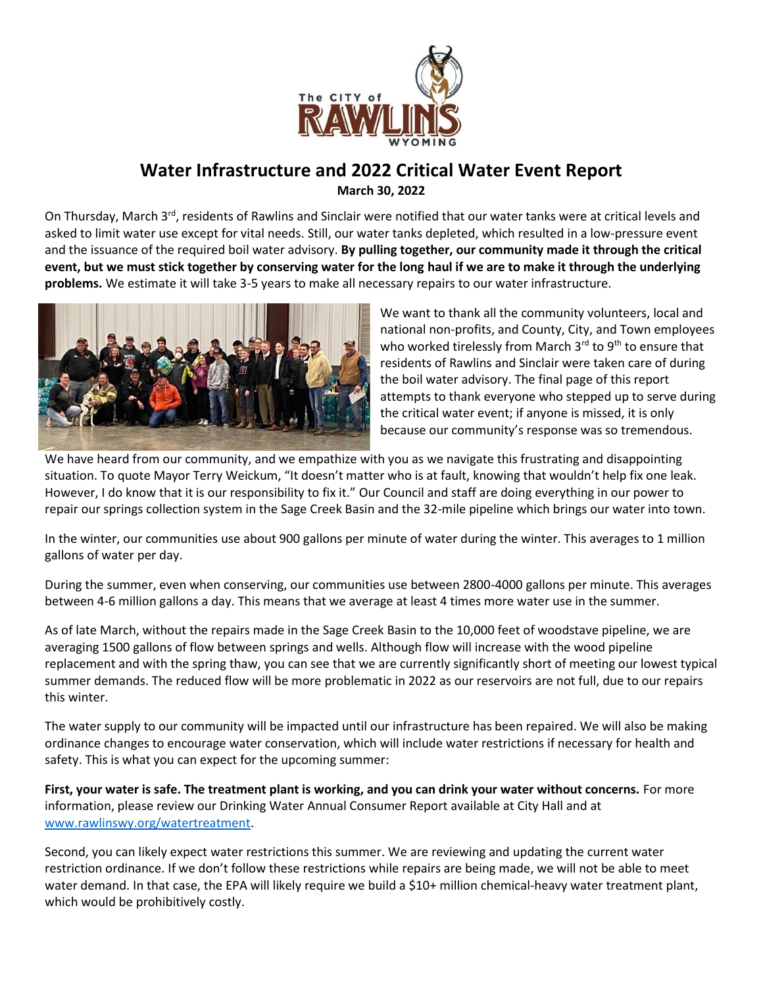

## **Water Infrastructure and 2022 Critical Water Event Report March 30, 2022**

On Thursday, March 3<sup>rd</sup>, residents of Rawlins and Sinclair were notified that our water tanks were at critical levels and asked to limit water use except for vital needs. Still, our water tanks depleted, which resulted in a low-pressure event and the issuance of the required boil water advisory. **By pulling together, our community made it through the critical event, but we must stick together by conserving water for the long haul if we are to make it through the underlying problems.** We estimate it will take 3-5 years to make all necessary repairs to our water infrastructure.



We want to thank all the community volunteers, local and national non-profits, and County, City, and Town employees who worked tirelessly from March  $3<sup>rd</sup>$  to  $9<sup>th</sup>$  to ensure that residents of Rawlins and Sinclair were taken care of during the boil water advisory. The final page of this report attempts to thank everyone who stepped up to serve during the critical water event; if anyone is missed, it is only because our community's response was so tremendous.

We have heard from our community, and we empathize with you as we navigate this frustrating and disappointing situation. To quote Mayor Terry Weickum, "It doesn't matter who is at fault, knowing that wouldn't help fix one leak. However, I do know that it is our responsibility to fix it." Our Council and staff are doing everything in our power to repair our springs collection system in the Sage Creek Basin and the 32-mile pipeline which brings our water into town.

In the winter, our communities use about 900 gallons per minute of water during the winter. This averages to 1 million gallons of water per day.

During the summer, even when conserving, our communities use between 2800-4000 gallons per minute. This averages between 4-6 million gallons a day. This means that we average at least 4 times more water use in the summer.

As of late March, without the repairs made in the Sage Creek Basin to the 10,000 feet of woodstave pipeline, we are averaging 1500 gallons of flow between springs and wells. Although flow will increase with the wood pipeline replacement and with the spring thaw, you can see that we are currently significantly short of meeting our lowest typical summer demands. The reduced flow will be more problematic in 2022 as our reservoirs are not full, due to our repairs this winter.

The water supply to our community will be impacted until our infrastructure has been repaired. We will also be making ordinance changes to encourage water conservation, which will include water restrictions if necessary for health and safety. This is what you can expect for the upcoming summer:

**First, your water is safe. The treatment plant is working, and you can drink your water without concerns.** For more information, please review our Drinking Water Annual Consumer Report available at City Hall and at [www.rawlinswy.org/watertreatment.](http://www.rawlinswy.org/watertreatment)

Second, you can likely expect water restrictions this summer. We are reviewing and updating the current water restriction ordinance. If we don't follow these restrictions while repairs are being made, we will not be able to meet water demand. In that case, the EPA will likely require we build a \$10+ million chemical-heavy water treatment plant, which would be prohibitively costly.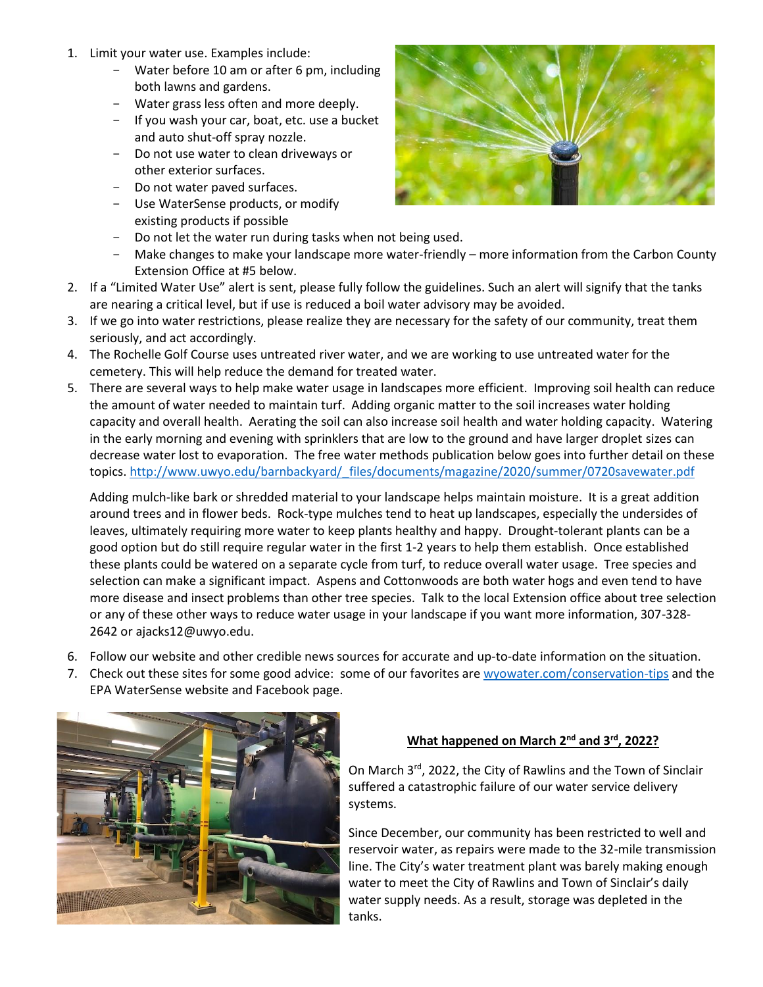- 1. Limit your water use. Examples include:
	- Water before 10 am or after 6 pm, including both lawns and gardens.
	- Water grass less often and more deeply.
	- If you wash your car, boat, etc. use a bucket and auto shut-off spray nozzle.
	- Do not use water to clean driveways or other exterior surfaces.
	- Do not water paved surfaces.
	- Use WaterSense products, or modify existing products if possible
	- Do not let the water run during tasks when not being used.
	- Make changes to make your landscape more water-friendly more information from the Carbon County Extension Office at #5 below.
- 2. If a "Limited Water Use" alert is sent, please fully follow the guidelines. Such an alert will signify that the tanks are nearing a critical level, but if use is reduced a boil water advisory may be avoided.
- 3. If we go into water restrictions, please realize they are necessary for the safety of our community, treat them seriously, and act accordingly.
- 4. The Rochelle Golf Course uses untreated river water, and we are working to use untreated water for the cemetery. This will help reduce the demand for treated water.
- 5. There are several ways to help make water usage in landscapes more efficient. Improving soil health can reduce the amount of water needed to maintain turf. Adding organic matter to the soil increases water holding capacity and overall health. Aerating the soil can also increase soil health and water holding capacity. Watering in the early morning and evening with sprinklers that are low to the ground and have larger droplet sizes can decrease water lost to evaporation. The free water methods publication below goes into further detail on these topics. http://www.uwyo.edu/barnbackyard/\_files/documents/magazine/2020/summer/0720savewater.pdf

Adding mulch-like bark or shredded material to your landscape helps maintain moisture. It is a great addition around trees and in flower beds. Rock-type mulches tend to heat up landscapes, especially the undersides of leaves, ultimately requiring more water to keep plants healthy and happy. Drought-tolerant plants can be a good option but do still require regular water in the first 1-2 years to help them establish. Once established these plants could be watered on a separate cycle from turf, to reduce overall water usage. Tree species and selection can make a significant impact. Aspens and Cottonwoods are both water hogs and even tend to have more disease and insect problems than other tree species. Talk to the local Extension office about tree selection or any of these other ways to reduce water usage in your landscape if you want more information, 307-328- 2642 or ajacks12@uwyo.edu.

- 6. Follow our website and other credible news sources for accurate and up-to-date information on the situation.
- 7. Check out these sites for some good advice: some of our favorites are [wyowater.com/conservation-tips](https://wyowater.com/conservation-tips) and the EPA WaterSense website and Facebook page.



### **What happened on March 2nd and 3rd, 2022?**

On March 3<sup>rd</sup>, 2022, the City of Rawlins and the Town of Sinclair suffered a catastrophic failure of our water service delivery systems.

Since December, our community has been restricted to well and reservoir water, as repairs were made to the 32-mile transmission line. The City's water treatment plant was barely making enough water to meet the City of Rawlins and Town of Sinclair's daily water supply needs. As a result, storage was depleted in the tanks.

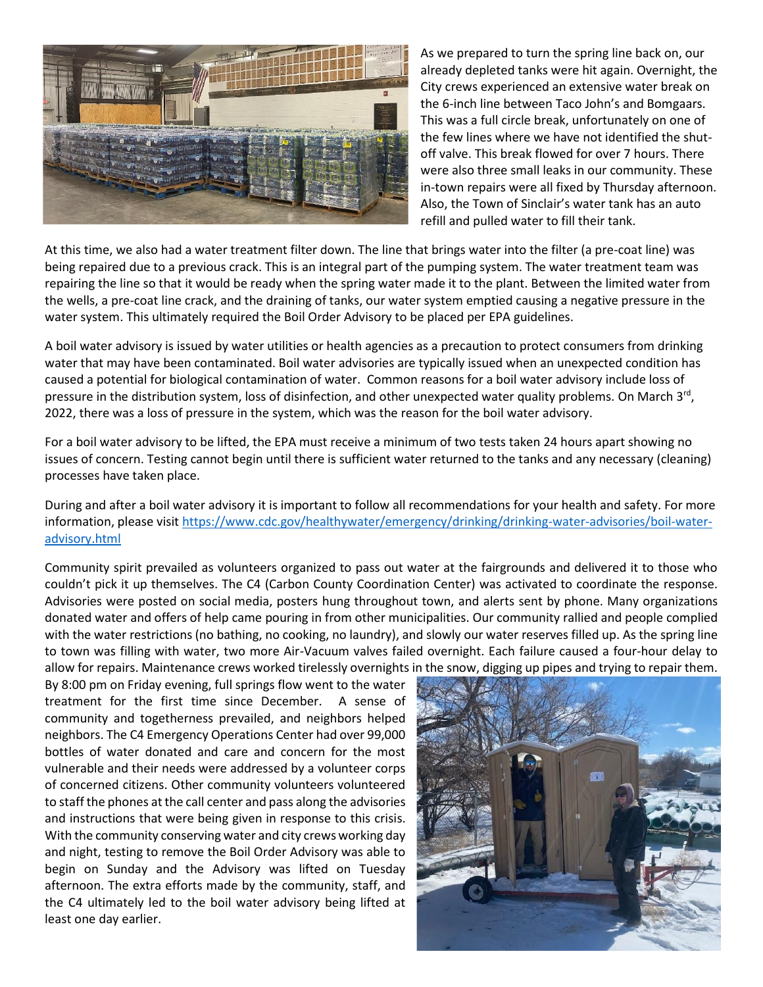

As we prepared to turn the spring line back on, our already depleted tanks were hit again. Overnight, the City crews experienced an extensive water break on the 6-inch line between Taco John's and Bomgaars. This was a full circle break, unfortunately on one of the few lines where we have not identified the shutoff valve. This break flowed for over 7 hours. There were also three small leaks in our community. These in-town repairs were all fixed by Thursday afternoon. Also, the Town of Sinclair's water tank has an auto refill and pulled water to fill their tank.

At this time, we also had a water treatment filter down. The line that brings water into the filter (a pre-coat line) was being repaired due to a previous crack. This is an integral part of the pumping system. The water treatment team was repairing the line so that it would be ready when the spring water made it to the plant. Between the limited water from the wells, a pre-coat line crack, and the draining of tanks, our water system emptied causing a negative pressure in the water system. This ultimately required the Boil Order Advisory to be placed per EPA guidelines.

A boil water advisory is issued by water utilities or health agencies as a precaution to protect consumers from drinking water that may have been contaminated. Boil water advisories are typically issued when an unexpected condition has caused a potential for biological contamination of water. Common reasons for a boil water advisory include loss of pressure in the distribution system, loss of disinfection, and other unexpected water quality problems. On March 3<sup>rd</sup>, 2022, there was a loss of pressure in the system, which was the reason for the boil water advisory.

For a boil water advisory to be lifted, the EPA must receive a minimum of two tests taken 24 hours apart showing no issues of concern. Testing cannot begin until there is sufficient water returned to the tanks and any necessary (cleaning) processes have taken place.

During and after a boil water advisory it is important to follow all recommendations for your health and safety. For more information, please visit [https://www.cdc.gov/healthywater/emergency/drinking/drinking-water-advisories/boil-water](https://www.cdc.gov/healthywater/emergency/drinking/drinking-water-advisories/boil-water-advisory.html)[advisory.html](https://www.cdc.gov/healthywater/emergency/drinking/drinking-water-advisories/boil-water-advisory.html)

Community spirit prevailed as volunteers organized to pass out water at the fairgrounds and delivered it to those who couldn't pick it up themselves. The C4 (Carbon County Coordination Center) was activated to coordinate the response. Advisories were posted on social media, posters hung throughout town, and alerts sent by phone. Many organizations donated water and offers of help came pouring in from other municipalities. Our community rallied and people complied with the water restrictions (no bathing, no cooking, no laundry), and slowly our water reserves filled up. As the spring line to town was filling with water, two more Air-Vacuum valves failed overnight. Each failure caused a four-hour delay to allow for repairs. Maintenance crews worked tirelessly overnights in the snow, digging up pipes and trying to repair them.

By 8:00 pm on Friday evening, full springs flow went to the water treatment for the first time since December. A sense of community and togetherness prevailed, and neighbors helped neighbors. The C4 Emergency Operations Center had over 99,000 bottles of water donated and care and concern for the most vulnerable and their needs were addressed by a volunteer corps of concerned citizens. Other community volunteers volunteered to staff the phones at the call center and pass along the advisories and instructions that were being given in response to this crisis. With the community conserving water and city crews working day and night, testing to remove the Boil Order Advisory was able to begin on Sunday and the Advisory was lifted on Tuesday afternoon. The extra efforts made by the community, staff, and the C4 ultimately led to the boil water advisory being lifted at least one day earlier.

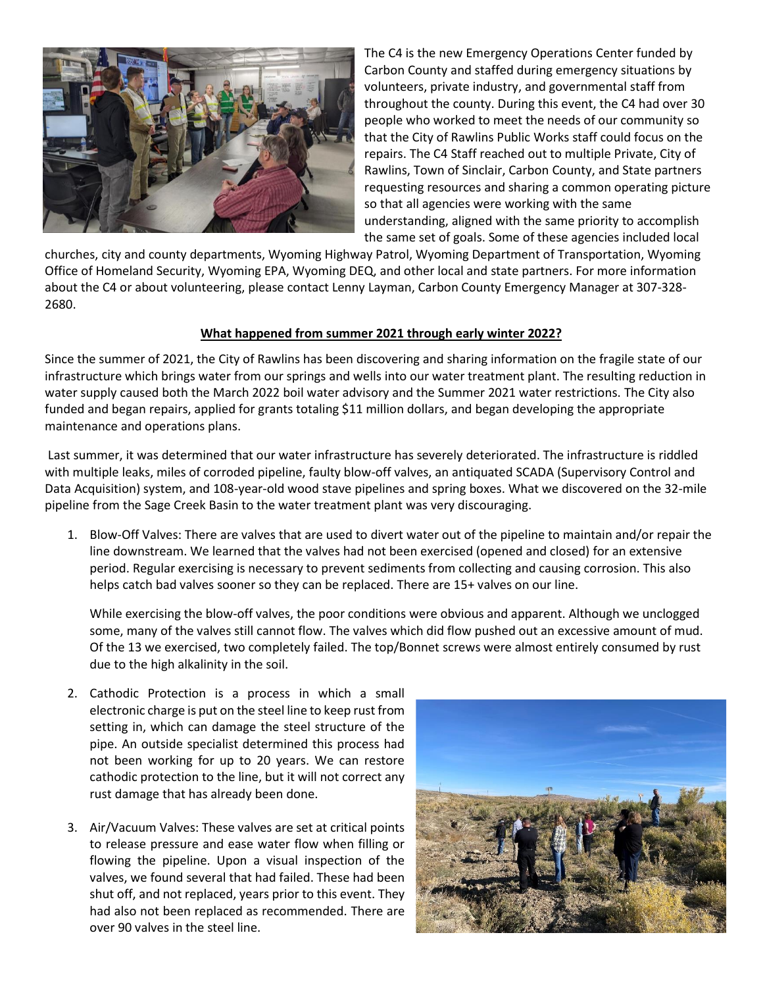

The C4 is the new Emergency Operations Center funded by Carbon County and staffed during emergency situations by volunteers, private industry, and governmental staff from throughout the county. During this event, the C4 had over 30 people who worked to meet the needs of our community so that the City of Rawlins Public Works staff could focus on the repairs. The C4 Staff reached out to multiple Private, City of Rawlins, Town of Sinclair, Carbon County, and State partners requesting resources and sharing a common operating picture so that all agencies were working with the same understanding, aligned with the same priority to accomplish the same set of goals. Some of these agencies included local

churches, city and county departments, Wyoming Highway Patrol, Wyoming Department of Transportation, Wyoming Office of Homeland Security, Wyoming EPA, Wyoming DEQ, and other local and state partners. For more information about the C4 or about volunteering, please contact Lenny Layman, Carbon County Emergency Manager at 307-328- 2680.

#### **What happened from summer 2021 through early winter 2022?**

Since the summer of 2021, the City of Rawlins has been discovering and sharing information on the fragile state of our infrastructure which brings water from our springs and wells into our water treatment plant. The resulting reduction in water supply caused both the March 2022 boil water advisory and the Summer 2021 water restrictions. The City also funded and began repairs, applied for grants totaling \$11 million dollars, and began developing the appropriate maintenance and operations plans.

Last summer, it was determined that our water infrastructure has severely deteriorated. The infrastructure is riddled with multiple leaks, miles of corroded pipeline, faulty blow-off valves, an antiquated SCADA (Supervisory Control and Data Acquisition) system, and 108-year-old wood stave pipelines and spring boxes. What we discovered on the 32-mile pipeline from the Sage Creek Basin to the water treatment plant was very discouraging.

1. Blow-Off Valves: There are valves that are used to divert water out of the pipeline to maintain and/or repair the line downstream. We learned that the valves had not been exercised (opened and closed) for an extensive period. Regular exercising is necessary to prevent sediments from collecting and causing corrosion. This also helps catch bad valves sooner so they can be replaced. There are 15+ valves on our line.

While exercising the blow-off valves, the poor conditions were obvious and apparent. Although we unclogged some, many of the valves still cannot flow. The valves which did flow pushed out an excessive amount of mud. Of the 13 we exercised, two completely failed. The top/Bonnet screws were almost entirely consumed by rust due to the high alkalinity in the soil.

- 2. Cathodic Protection is a process in which a small electronic charge is put on the steel line to keep rust from setting in, which can damage the steel structure of the pipe. An outside specialist determined this process had not been working for up to 20 years. We can restore cathodic protection to the line, but it will not correct any rust damage that has already been done.
- 3. Air/Vacuum Valves: These valves are set at critical points to release pressure and ease water flow when filling or flowing the pipeline. Upon a visual inspection of the valves, we found several that had failed. These had been shut off, and not replaced, years prior to this event. They had also not been replaced as recommended. There are over 90 valves in the steel line.

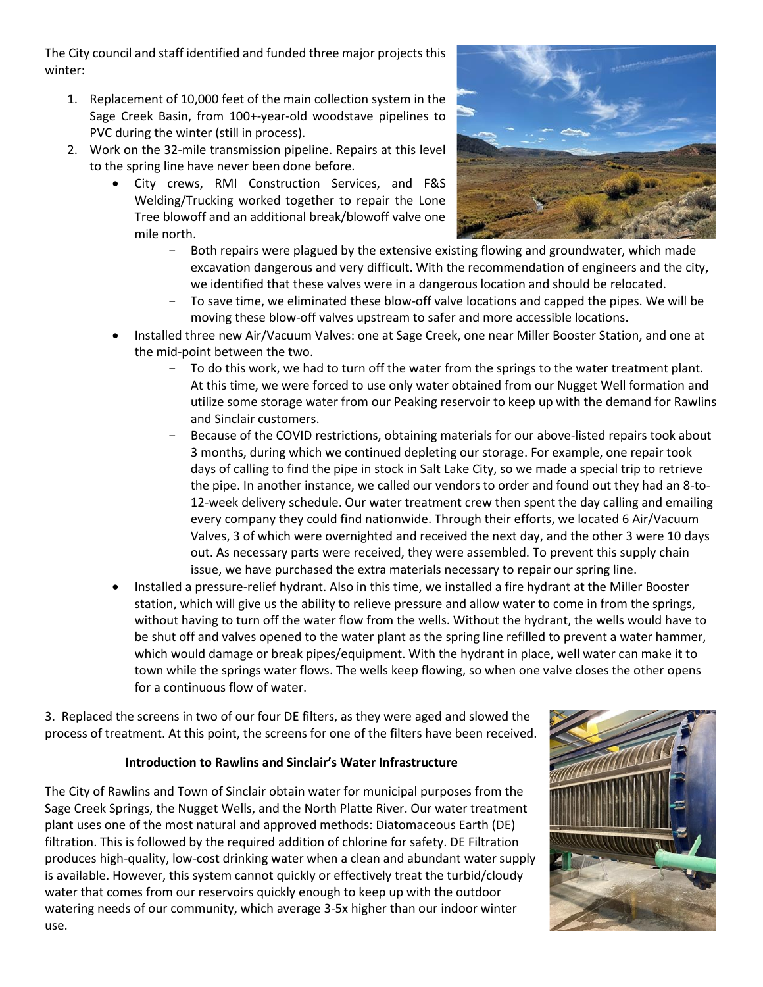The City council and staff identified and funded three major projects this winter:

- 1. Replacement of 10,000 feet of the main collection system in the Sage Creek Basin, from 100+-year-old woodstave pipelines to PVC during the winter (still in process).
- 2. Work on the 32-mile transmission pipeline. Repairs at this level to the spring line have never been done before.
	- City crews, RMI Construction Services, and F&S Welding/Trucking worked together to repair the Lone Tree blowoff and an additional break/blowoff valve one mile north.



- Both repairs were plagued by the extensive existing flowing and groundwater, which made excavation dangerous and very difficult. With the recommendation of engineers and the city, we identified that these valves were in a dangerous location and should be relocated.
- To save time, we eliminated these blow-off valve locations and capped the pipes. We will be moving these blow-off valves upstream to safer and more accessible locations.
- Installed three new Air/Vacuum Valves: one at Sage Creek, one near Miller Booster Station, and one at the mid-point between the two.
	- To do this work, we had to turn off the water from the springs to the water treatment plant. At this time, we were forced to use only water obtained from our Nugget Well formation and utilize some storage water from our Peaking reservoir to keep up with the demand for Rawlins and Sinclair customers.
	- Because of the COVID restrictions, obtaining materials for our above-listed repairs took about 3 months, during which we continued depleting our storage. For example, one repair took days of calling to find the pipe in stock in Salt Lake City, so we made a special trip to retrieve the pipe. In another instance, we called our vendors to order and found out they had an 8-to-12-week delivery schedule. Our water treatment crew then spent the day calling and emailing every company they could find nationwide. Through their efforts, we located 6 Air/Vacuum Valves, 3 of which were overnighted and received the next day, and the other 3 were 10 days out. As necessary parts were received, they were assembled. To prevent this supply chain issue, we have purchased the extra materials necessary to repair our spring line.
- Installed a pressure-relief hydrant. Also in this time, we installed a fire hydrant at the Miller Booster station, which will give us the ability to relieve pressure and allow water to come in from the springs, without having to turn off the water flow from the wells. Without the hydrant, the wells would have to be shut off and valves opened to the water plant as the spring line refilled to prevent a water hammer, which would damage or break pipes/equipment. With the hydrant in place, well water can make it to town while the springs water flows. The wells keep flowing, so when one valve closes the other opens for a continuous flow of water.

3. Replaced the screens in two of our four DE filters, as they were aged and slowed the process of treatment. At this point, the screens for one of the filters have been received.

### **Introduction to Rawlins and Sinclair's Water Infrastructure**

The City of Rawlins and Town of Sinclair obtain water for municipal purposes from the Sage Creek Springs, the Nugget Wells, and the North Platte River. Our water treatment plant uses one of the most natural and approved methods: Diatomaceous Earth (DE) filtration. This is followed by the required addition of chlorine for safety. DE Filtration produces high-quality, low-cost drinking water when a clean and abundant water supply is available. However, this system cannot quickly or effectively treat the turbid/cloudy water that comes from our reservoirs quickly enough to keep up with the outdoor watering needs of our community, which average 3-5x higher than our indoor winter use.

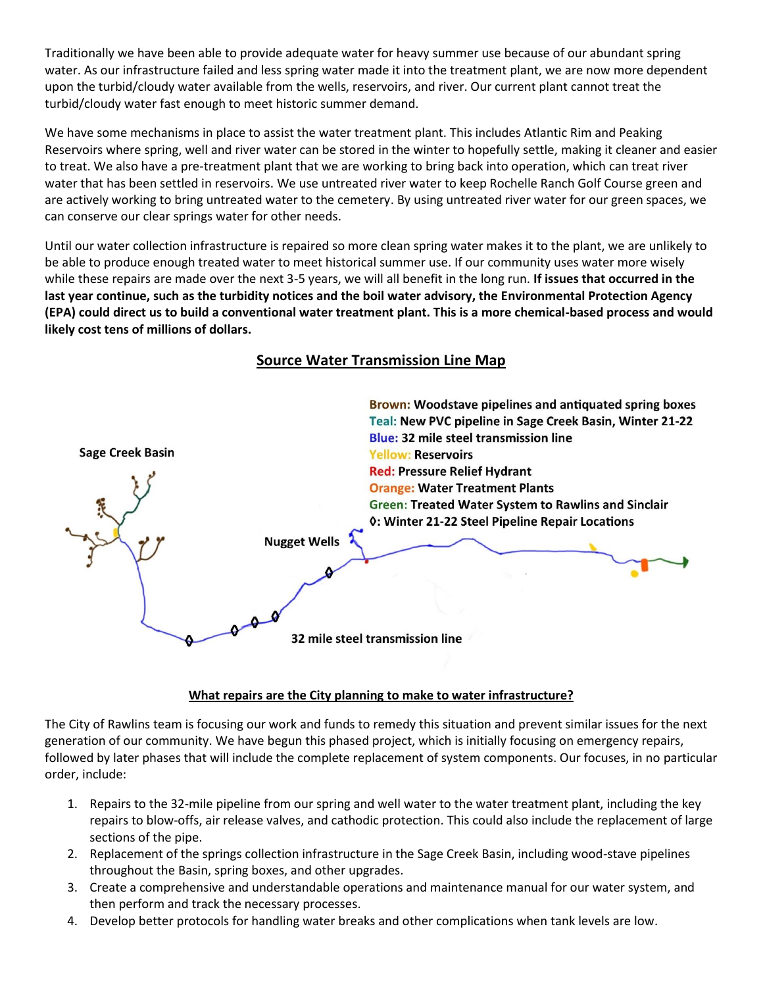Traditionally we have been able to provide adequate water for heavy summer use because of our abundant spring water. As our infrastructure failed and less spring water made it into the treatment plant, we are now more dependent upon the turbid/cloudy water available from the wells, reservoirs, and river. Our current plant cannot treat the turbid/cloudy water fast enough to meet historic summer demand.

We have some mechanisms in place to assist the water treatment plant. This includes Atlantic Rim and Peaking Reservoirs where spring, well and river water can be stored in the winter to hopefully settle, making it cleaner and easier to treat. We also have a pre-treatment plant that we are working to bring back into operation, which can treat river water that has been settled in reservoirs. We use untreated river water to keep Rochelle Ranch Golf Course green and are actively working to bring untreated water to the cemetery. By using untreated river water for our green spaces, we can conserve our clear springs water for other needs.

Until our water collection infrastructure is repaired so more clean spring water makes it to the plant, we are unlikely to be able to produce enough treated water to meet historical summer use. If our community uses water more wisely while these repairs are made over the next 3-5 years, we will all benefit in the long run. **If issues that occurred in the last year continue, such as the turbidity notices and the boil water advisory, the Environmental Protection Agency (EPA) could direct us to build a conventional water treatment plant. This is a more chemical-based process and would likely cost tens of millions of dollars.** 



### **Source Water Transmission Line Map**

### **What repairs are the City planning to make to water infrastructure?**

The City of Rawlins team is focusing our work and funds to remedy this situation and prevent similar issues for the next generation of our community. We have begun this phased project, which is initially focusing on emergency repairs, followed by later phases that will include the complete replacement of system components. Our focuses, in no particular order, include:

- 1. Repairs to the 32-mile pipeline from our spring and well water to the water treatment plant, including the key repairs to blow-offs, air release valves, and cathodic protection. This could also include the replacement of large sections of the pipe.
- 2. Replacement of the springs collection infrastructure in the Sage Creek Basin, including wood-stave pipelines throughout the Basin, spring boxes, and other upgrades.
- 3. Create a comprehensive and understandable operations and maintenance manual for our water system, and then perform and track the necessary processes.
- 4. Develop better protocols for handling water breaks and other complications when tank levels are low.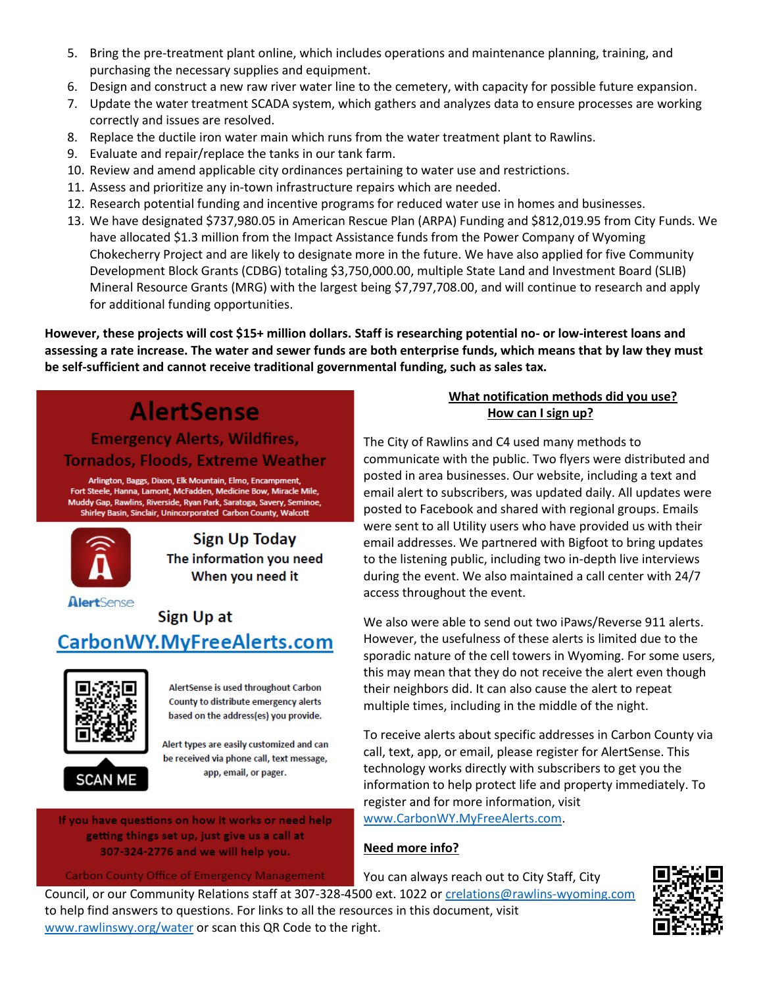- 5. Bring the pre-treatment plant online, which includes operations and maintenance planning, training, and purchasing the necessary supplies and equipment.
- 6. Design and construct a new raw river water line to the cemetery, with capacity for possible future expansion.
- 7. Update the water treatment SCADA system, which gathers and analyzes data to ensure processes are working correctly and issues are resolved.
- 8. Replace the ductile iron water main which runs from the water treatment plant to Rawlins.
- 9. Evaluate and repair/replace the tanks in our tank farm.
- 10. Review and amend applicable city ordinances pertaining to water use and restrictions.
- 11. Assess and prioritize any in-town infrastructure repairs which are needed.
- 12. Research potential funding and incentive programs for reduced water use in homes and businesses.
- 13. We have designated \$737,980.05 in American Rescue Plan (ARPA) Funding and \$812,019.95 from City Funds. We have allocated \$1.3 million from the Impact Assistance funds from the Power Company of Wyoming Chokecherry Project and are likely to designate more in the future. We have also applied for five Community Development Block Grants (CDBG) totaling \$3,750,000.00, multiple State Land and Investment Board (SLIB) Mineral Resource Grants (MRG) with the largest being \$7,797,708.00, and will continue to research and apply for additional funding opportunities.

**However, these projects will cost \$15+ million dollars. Staff is researching potential no- or low-interest loans and assessing a rate increase. The water and sewer funds are both enterprise funds, which means that by law they must be self-sufficient and cannot receive traditional governmental funding, such as sales tax.** 

# **AlertSense**

## **Emergency Alerts, Wildfires,** Tornados, Floods, Extreme Weather

Arlington, Baggs, Dixon, Elk Mountain, Elmo, Encampment, Fort Steele, Hanna, Lamont, McFadden, Medicine Bow, Miracle Mile, Muddy Gap, Rawlins, Riverside, Ryan Park, Saratoga, Savery, Seminoe, Shirley Basin, Sinclair, Unincorporated Carbon County, Walcott



**Sign Up Today** The information you need When you need it

## AlertSense Sign Up at CarbonWY.MyFreeAlerts.com



AlertSense is used throughout Carbon County to distribute emergency alerts based on the address(es) you provide.

Alert types are easily customized and can be received via phone call, text message, app, email, or pager.

If you have questions on how it works or need help getting things set up, just give us a call at 307-324-2776 and we will help you.

**Carbon County Office of Emergency Management** 

### **What notification methods did you use? How can I sign up?**

The City of Rawlins and C4 used many methods to communicate with the public. Two flyers were distributed and posted in area businesses. Our website, including a text and email alert to subscribers, was updated daily. All updates were posted to Facebook and shared with regional groups. Emails were sent to all Utility users who have provided us with their email addresses. We partnered with Bigfoot to bring updates to the listening public, including two in-depth live interviews during the event. We also maintained a call center with 24/7 access throughout the event.

We also were able to send out two iPaws/Reverse 911 alerts. However, the usefulness of these alerts is limited due to the sporadic nature of the cell towers in Wyoming. For some users, this may mean that they do not receive the alert even though their neighbors did. It can also cause the alert to repeat multiple times, including in the middle of the night.

To receive alerts about specific addresses in Carbon County via call, text, app, or email, please register for AlertSense. This technology works directly with subscribers to get you the information to help protect life and property immediately. To register and for more information, visit [www.CarbonWY.MyFreeAlerts.com.](http://www.carbonwy.myfreealerts.com/)

### **Need more info?**

You can always reach out to City Staff, City

Council, or our Community Relations staff at 307-328-4500 ext. 1022 o[r crelations@rawlins-wyoming.com](mailto:crelations@rawlins-wyoming.com) to help find answers to questions. For links to all the resources in this document, visit [www.rawlinswy.org/water](http://www.rawlinswy.org/water) or scan this QR Code to the right.